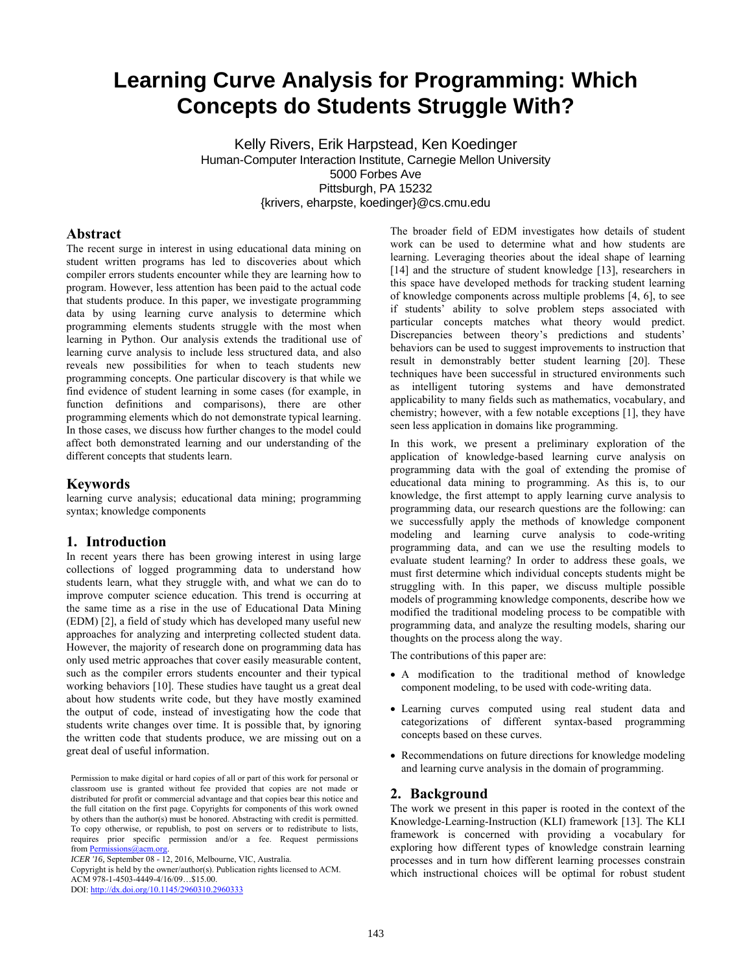# **Learning Curve Analysis for Programming: Which Concepts do Students Struggle With?**

Kelly Rivers, Erik Harpstead, Ken Koedinger Human-Computer Interaction Institute, Carnegie Mellon University 5000 Forbes Ave Pittsburgh, PA 15232 {krivers, eharpste, koedinger}@cs.cmu.edu

### **Abstract**

The recent surge in interest in using educational data mining on student written programs has led to discoveries about which compiler errors students encounter while they are learning how to program. However, less attention has been paid to the actual code that students produce. In this paper, we investigate programming data by using learning curve analysis to determine which programming elements students struggle with the most when learning in Python. Our analysis extends the traditional use of learning curve analysis to include less structured data, and also reveals new possibilities for when to teach students new programming concepts. One particular discovery is that while we find evidence of student learning in some cases (for example, in function definitions and comparisons), there are other programming elements which do not demonstrate typical learning. In those cases, we discuss how further changes to the model could affect both demonstrated learning and our understanding of the different concepts that students learn.

### **Keywords**

learning curve analysis; educational data mining; programming syntax; knowledge components

#### **1. Introduction**

In recent years there has been growing interest in using large collections of logged programming data to understand how students learn, what they struggle with, and what we can do to improve computer science education. This trend is occurring at the same time as a rise in the use of Educational Data Mining (EDM) [2], a field of study which has developed many useful new approaches for analyzing and interpreting collected student data. However, the majority of research done on programming data has only used metric approaches that cover easily measurable content, such as the compiler errors students encounter and their typical working behaviors [10]. These studies have taught us a great deal about how students write code, but they have mostly examined the output of code, instead of investigating how the code that students write changes over time. It is possible that, by ignoring the written code that students produce, we are missing out on a great deal of useful information.

*ICER '16,* September 08 - 12, 2016, Melbourne, VIC, Australia.

Copyright is held by the owner/author(s). Publication rights licensed to ACM. ACM 978-1-4503-4449-4/16/09…\$15.00.

DOI: http://dx.doi.org/10.1145/2960310.2960333

The broader field of EDM investigates how details of student work can be used to determine what and how students are learning. Leveraging theories about the ideal shape of learning [14] and the structure of student knowledge [13], researchers in this space have developed methods for tracking student learning of knowledge components across multiple problems [4, 6], to see if students' ability to solve problem steps associated with particular concepts matches what theory would predict. Discrepancies between theory's predictions and students' behaviors can be used to suggest improvements to instruction that result in demonstrably better student learning [20]. These techniques have been successful in structured environments such as intelligent tutoring systems and have demonstrated applicability to many fields such as mathematics, vocabulary, and chemistry; however, with a few notable exceptions [1], they have seen less application in domains like programming.

In this work, we present a preliminary exploration of the application of knowledge-based learning curve analysis on programming data with the goal of extending the promise of educational data mining to programming. As this is, to our knowledge, the first attempt to apply learning curve analysis to programming data, our research questions are the following: can we successfully apply the methods of knowledge component modeling and learning curve analysis to code-writing programming data, and can we use the resulting models to evaluate student learning? In order to address these goals, we must first determine which individual concepts students might be struggling with. In this paper, we discuss multiple possible models of programming knowledge components, describe how we modified the traditional modeling process to be compatible with programming data, and analyze the resulting models, sharing our thoughts on the process along the way.

The contributions of this paper are:

- A modification to the traditional method of knowledge component modeling, to be used with code-writing data.
- Learning curves computed using real student data and categorizations of different syntax-based programming concepts based on these curves.
- Recommendations on future directions for knowledge modeling and learning curve analysis in the domain of programming.

### **2. Background**

The work we present in this paper is rooted in the context of the Knowledge-Learning-Instruction (KLI) framework [13]. The KLI framework is concerned with providing a vocabulary for exploring how different types of knowledge constrain learning processes and in turn how different learning processes constrain which instructional choices will be optimal for robust student

Permission to make digital or hard copies of all or part of this work for personal or classroom use is granted without fee provided that copies are not made or distributed for profit or commercial advantage and that copies bear this notice and the full citation on the first page. Copyrights for components of this work owned by others than the author(s) must be honored. Abstracting with credit is permitted. To copy otherwise, or republish, to post on servers or to redistribute to lists, requires prior specific permission and/or a fee. Request permissions from Permissions@acm.org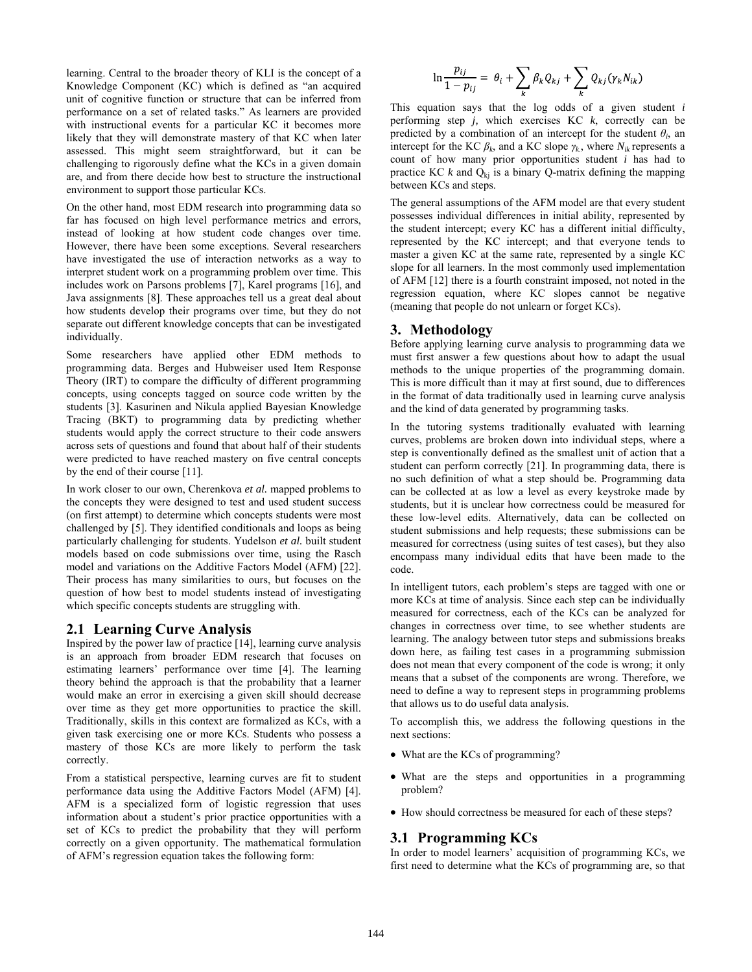learning. Central to the broader theory of KLI is the concept of a Knowledge Component (KC) which is defined as "an acquired unit of cognitive function or structure that can be inferred from performance on a set of related tasks." As learners are provided with instructional events for a particular KC it becomes more likely that they will demonstrate mastery of that KC when later assessed. This might seem straightforward, but it can be challenging to rigorously define what the KCs in a given domain are, and from there decide how best to structure the instructional environment to support those particular KCs.

On the other hand, most EDM research into programming data so far has focused on high level performance metrics and errors, instead of looking at how student code changes over time. However, there have been some exceptions. Several researchers have investigated the use of interaction networks as a way to interpret student work on a programming problem over time. This includes work on Parsons problems [7], Karel programs [16], and Java assignments [8]. These approaches tell us a great deal about how students develop their programs over time, but they do not separate out different knowledge concepts that can be investigated individually.

Some researchers have applied other EDM methods to programming data. Berges and Hubweiser used Item Response Theory (IRT) to compare the difficulty of different programming concepts, using concepts tagged on source code written by the students [3]. Kasurinen and Nikula applied Bayesian Knowledge Tracing (BKT) to programming data by predicting whether students would apply the correct structure to their code answers across sets of questions and found that about half of their students were predicted to have reached mastery on five central concepts by the end of their course [11].

In work closer to our own, Cherenkova *et al.* mapped problems to the concepts they were designed to test and used student success (on first attempt) to determine which concepts students were most challenged by [5]. They identified conditionals and loops as being particularly challenging for students. Yudelson *et al.* built student models based on code submissions over time, using the Rasch model and variations on the Additive Factors Model (AFM) [22]. Their process has many similarities to ours, but focuses on the question of how best to model students instead of investigating which specific concepts students are struggling with.

### **2.1 Learning Curve Analysis**

Inspired by the power law of practice [14], learning curve analysis is an approach from broader EDM research that focuses on estimating learners' performance over time [4]. The learning theory behind the approach is that the probability that a learner would make an error in exercising a given skill should decrease over time as they get more opportunities to practice the skill. Traditionally, skills in this context are formalized as KCs, with a given task exercising one or more KCs. Students who possess a mastery of those KCs are more likely to perform the task correctly.

From a statistical perspective, learning curves are fit to student performance data using the Additive Factors Model (AFM) [4]. AFM is a specialized form of logistic regression that uses information about a student's prior practice opportunities with a set of KCs to predict the probability that they will perform correctly on a given opportunity. The mathematical formulation of AFM's regression equation takes the following form:

$$
\ln \frac{p_{ij}}{1 - p_{ij}} = \theta_i + \sum_k \beta_k Q_{kj} + \sum_k Q_{kj} (\gamma_k N_{ik})
$$

This equation says that the log odds of a given student *i* performing step *j,* which exercises KC *k*, correctly can be predicted by a combination of an intercept for the student  $\theta_i$ , an intercept for the KC  $\beta_k$ , and a KC slope  $\gamma_k$ , where  $N_{ik}$  represents a count of how many prior opportunities student *i* has had to practice KC  $k$  and  $Q_{ki}$  is a binary Q-matrix defining the mapping between KCs and steps.

The general assumptions of the AFM model are that every student possesses individual differences in initial ability, represented by the student intercept; every KC has a different initial difficulty, represented by the KC intercept; and that everyone tends to master a given KC at the same rate, represented by a single KC slope for all learners. In the most commonly used implementation of AFM [12] there is a fourth constraint imposed, not noted in the regression equation, where KC slopes cannot be negative (meaning that people do not unlearn or forget KCs).

### **3. Methodology**

Before applying learning curve analysis to programming data we must first answer a few questions about how to adapt the usual methods to the unique properties of the programming domain. This is more difficult than it may at first sound, due to differences in the format of data traditionally used in learning curve analysis and the kind of data generated by programming tasks.

In the tutoring systems traditionally evaluated with learning curves, problems are broken down into individual steps, where a step is conventionally defined as the smallest unit of action that a student can perform correctly [21]. In programming data, there is no such definition of what a step should be. Programming data can be collected at as low a level as every keystroke made by students, but it is unclear how correctness could be measured for these low-level edits. Alternatively, data can be collected on student submissions and help requests; these submissions can be measured for correctness (using suites of test cases), but they also encompass many individual edits that have been made to the code.

In intelligent tutors, each problem's steps are tagged with one or more KCs at time of analysis. Since each step can be individually measured for correctness, each of the KCs can be analyzed for changes in correctness over time, to see whether students are learning. The analogy between tutor steps and submissions breaks down here, as failing test cases in a programming submission does not mean that every component of the code is wrong; it only means that a subset of the components are wrong. Therefore, we need to define a way to represent steps in programming problems that allows us to do useful data analysis.

To accomplish this, we address the following questions in the next sections:

- What are the KCs of programming?
- What are the steps and opportunities in a programming problem?
- How should correctness be measured for each of these steps?

### **3.1 Programming KCs**

In order to model learners' acquisition of programming KCs, we first need to determine what the KCs of programming are, so that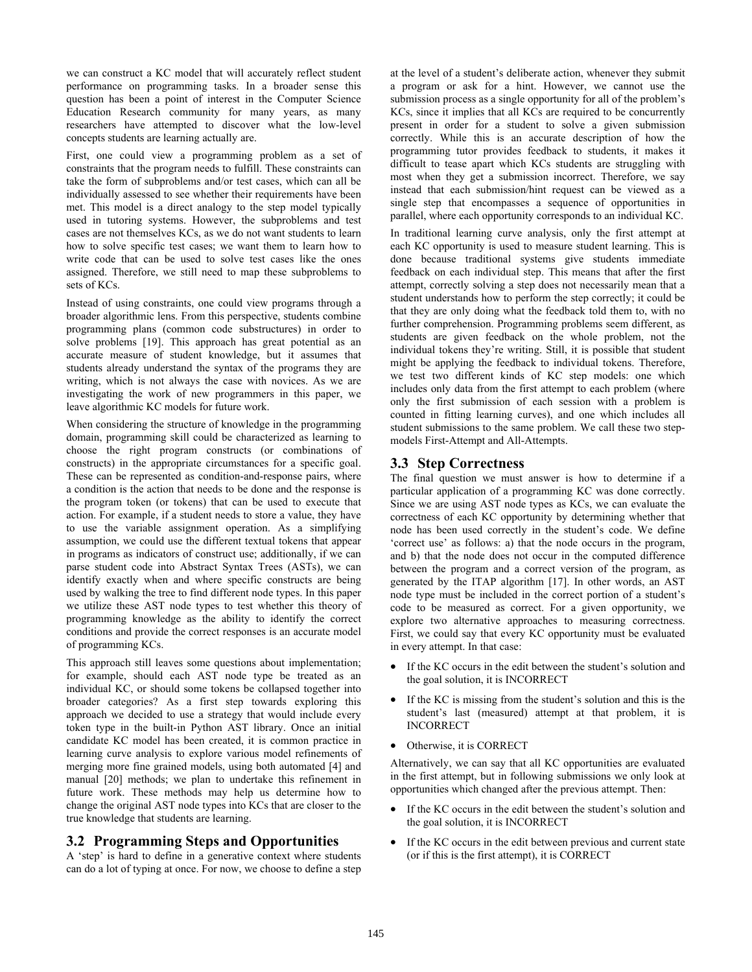we can construct a KC model that will accurately reflect student performance on programming tasks. In a broader sense this question has been a point of interest in the Computer Science Education Research community for many years, as many researchers have attempted to discover what the low-level concepts students are learning actually are.

First, one could view a programming problem as a set of constraints that the program needs to fulfill. These constraints can take the form of subproblems and/or test cases, which can all be individually assessed to see whether their requirements have been met. This model is a direct analogy to the step model typically used in tutoring systems. However, the subproblems and test cases are not themselves KCs, as we do not want students to learn how to solve specific test cases; we want them to learn how to write code that can be used to solve test cases like the ones assigned. Therefore, we still need to map these subproblems to sets of KCs.

Instead of using constraints, one could view programs through a broader algorithmic lens. From this perspective, students combine programming plans (common code substructures) in order to solve problems [19]. This approach has great potential as an accurate measure of student knowledge, but it assumes that students already understand the syntax of the programs they are writing, which is not always the case with novices. As we are investigating the work of new programmers in this paper, we leave algorithmic KC models for future work.

When considering the structure of knowledge in the programming domain, programming skill could be characterized as learning to choose the right program constructs (or combinations of constructs) in the appropriate circumstances for a specific goal. These can be represented as condition-and-response pairs, where a condition is the action that needs to be done and the response is the program token (or tokens) that can be used to execute that action. For example, if a student needs to store a value, they have to use the variable assignment operation. As a simplifying assumption, we could use the different textual tokens that appear in programs as indicators of construct use; additionally, if we can parse student code into Abstract Syntax Trees (ASTs), we can identify exactly when and where specific constructs are being used by walking the tree to find different node types. In this paper we utilize these AST node types to test whether this theory of programming knowledge as the ability to identify the correct conditions and provide the correct responses is an accurate model of programming KCs.

This approach still leaves some questions about implementation; for example, should each AST node type be treated as an individual KC, or should some tokens be collapsed together into broader categories? As a first step towards exploring this approach we decided to use a strategy that would include every token type in the built-in Python AST library. Once an initial candidate KC model has been created, it is common practice in learning curve analysis to explore various model refinements of merging more fine grained models, using both automated [4] and manual [20] methods; we plan to undertake this refinement in future work. These methods may help us determine how to change the original AST node types into KCs that are closer to the true knowledge that students are learning.

# **3.2 Programming Steps and Opportunities**

A 'step' is hard to define in a generative context where students can do a lot of typing at once. For now, we choose to define a step at the level of a student's deliberate action, whenever they submit a program or ask for a hint. However, we cannot use the submission process as a single opportunity for all of the problem's KCs, since it implies that all KCs are required to be concurrently present in order for a student to solve a given submission correctly. While this is an accurate description of how the programming tutor provides feedback to students, it makes it difficult to tease apart which KCs students are struggling with most when they get a submission incorrect. Therefore, we say instead that each submission/hint request can be viewed as a single step that encompasses a sequence of opportunities in parallel, where each opportunity corresponds to an individual KC.

In traditional learning curve analysis, only the first attempt at each KC opportunity is used to measure student learning. This is done because traditional systems give students immediate feedback on each individual step. This means that after the first attempt, correctly solving a step does not necessarily mean that a student understands how to perform the step correctly; it could be that they are only doing what the feedback told them to, with no further comprehension. Programming problems seem different, as students are given feedback on the whole problem, not the individual tokens they're writing. Still, it is possible that student might be applying the feedback to individual tokens. Therefore, we test two different kinds of KC step models: one which includes only data from the first attempt to each problem (where only the first submission of each session with a problem is counted in fitting learning curves), and one which includes all student submissions to the same problem. We call these two stepmodels First-Attempt and All-Attempts.

## **3.3 Step Correctness**

The final question we must answer is how to determine if a particular application of a programming KC was done correctly. Since we are using AST node types as KCs, we can evaluate the correctness of each KC opportunity by determining whether that node has been used correctly in the student's code. We define 'correct use' as follows: a) that the node occurs in the program, and b) that the node does not occur in the computed difference between the program and a correct version of the program, as generated by the ITAP algorithm [17]. In other words, an AST node type must be included in the correct portion of a student's code to be measured as correct. For a given opportunity, we explore two alternative approaches to measuring correctness. First, we could say that every KC opportunity must be evaluated in every attempt. In that case:

- If the KC occurs in the edit between the student's solution and the goal solution, it is INCORRECT
- If the KC is missing from the student's solution and this is the student's last (measured) attempt at that problem, it is INCORRECT
- Otherwise, it is CORRECT

Alternatively, we can say that all KC opportunities are evaluated in the first attempt, but in following submissions we only look at opportunities which changed after the previous attempt. Then:

- If the KC occurs in the edit between the student's solution and the goal solution, it is INCORRECT
- If the KC occurs in the edit between previous and current state (or if this is the first attempt), it is CORRECT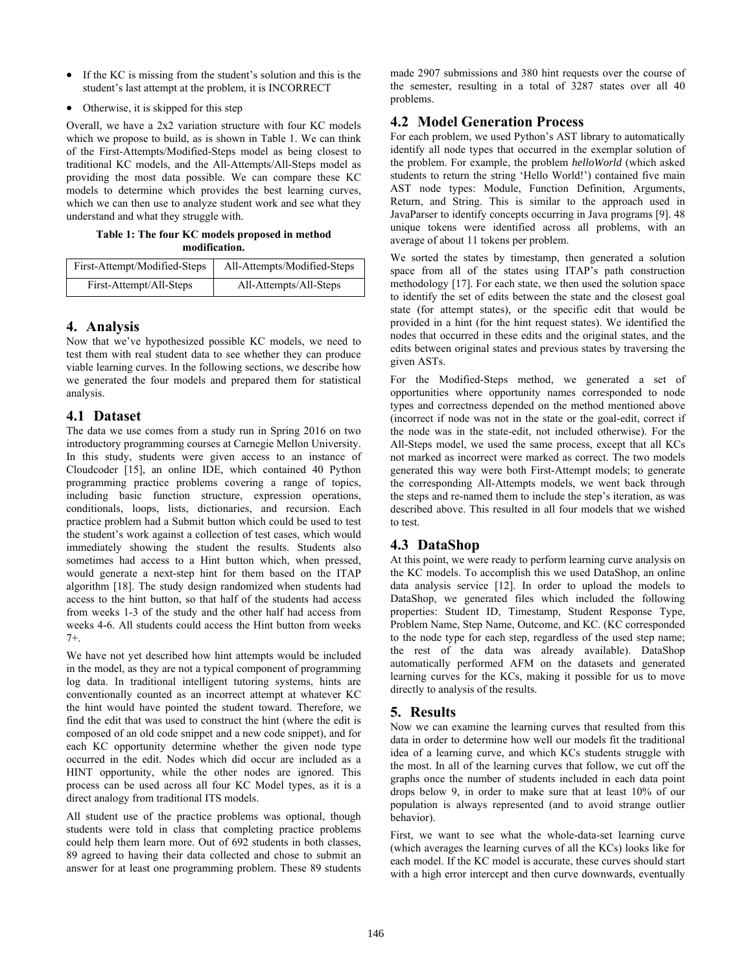- If the KC is missing from the student's solution and this is the student's last attempt at the problem, it is INCORRECT
- Otherwise, it is skipped for this step

Overall, we have a 2x2 variation structure with four KC models which we propose to build, as is shown in Table 1. We can think of the First-Attempts/Modified-Steps model as being closest to traditional KC models, and the All-Attempts/All-Steps model as providing the most data possible. We can compare these KC models to determine which provides the best learning curves, which we can then use to analyze student work and see what they understand and what they struggle with.

**Table 1: The four KC models proposed in method modification.** 

| First-Attempt/Modified-Steps | All-Attempts/Modified-Steps |
|------------------------------|-----------------------------|
| First-Attempt/All-Steps      | All-Attempts/All-Steps      |

# **4. Analysis**

Now that we've hypothesized possible KC models, we need to test them with real student data to see whether they can produce viable learning curves. In the following sections, we describe how we generated the four models and prepared them for statistical analysis.

# **4.1 Dataset**

The data we use comes from a study run in Spring 2016 on two introductory programming courses at Carnegie Mellon University. In this study, students were given access to an instance of Cloudcoder [15], an online IDE, which contained 40 Python programming practice problems covering a range of topics, including basic function structure, expression operations, conditionals, loops, lists, dictionaries, and recursion. Each practice problem had a Submit button which could be used to test the student's work against a collection of test cases, which would immediately showing the student the results. Students also sometimes had access to a Hint button which, when pressed, would generate a next-step hint for them based on the ITAP algorithm [18]. The study design randomized when students had access to the hint button, so that half of the students had access from weeks 1-3 of the study and the other half had access from weeks 4-6. All students could access the Hint button from weeks 7+.

We have not yet described how hint attempts would be included in the model, as they are not a typical component of programming log data. In traditional intelligent tutoring systems, hints are conventionally counted as an incorrect attempt at whatever KC the hint would have pointed the student toward. Therefore, we find the edit that was used to construct the hint (where the edit is composed of an old code snippet and a new code snippet), and for each KC opportunity determine whether the given node type occurred in the edit. Nodes which did occur are included as a HINT opportunity, while the other nodes are ignored. This process can be used across all four KC Model types, as it is a direct analogy from traditional ITS models.

All student use of the practice problems was optional, though students were told in class that completing practice problems could help them learn more. Out of 692 students in both classes, 89 agreed to having their data collected and chose to submit an answer for at least one programming problem. These 89 students made 2907 submissions and 380 hint requests over the course of the semester, resulting in a total of 3287 states over all 40 problems.

# **4.2 Model Generation Process**

For each problem, we used Python's AST library to automatically identify all node types that occurred in the exemplar solution of the problem. For example, the problem *helloWorld* (which asked students to return the string 'Hello World!') contained five main AST node types: Module, Function Definition, Arguments, Return, and String. This is similar to the approach used in JavaParser to identify concepts occurring in Java programs [9]. 48 unique tokens were identified across all problems, with an average of about 11 tokens per problem.

We sorted the states by timestamp, then generated a solution space from all of the states using ITAP's path construction methodology [17]. For each state, we then used the solution space to identify the set of edits between the state and the closest goal state (for attempt states), or the specific edit that would be provided in a hint (for the hint request states). We identified the nodes that occurred in these edits and the original states, and the edits between original states and previous states by traversing the given ASTs.

For the Modified-Steps method, we generated a set of opportunities where opportunity names corresponded to node types and correctness depended on the method mentioned above (incorrect if node was not in the state or the goal-edit, correct if the node was in the state-edit, not included otherwise). For the All-Steps model, we used the same process, except that all KCs not marked as incorrect were marked as correct. The two models generated this way were both First-Attempt models; to generate the corresponding All-Attempts models, we went back through the steps and re-named them to include the step's iteration, as was described above. This resulted in all four models that we wished to test.

# **4.3 DataShop**

At this point, we were ready to perform learning curve analysis on the KC models. To accomplish this we used DataShop, an online data analysis service [12]. In order to upload the models to DataShop, we generated files which included the following properties: Student ID, Timestamp, Student Response Type, Problem Name, Step Name, Outcome, and KC. (KC corresponded to the node type for each step, regardless of the used step name; the rest of the data was already available). DataShop automatically performed AFM on the datasets and generated learning curves for the KCs, making it possible for us to move directly to analysis of the results.

# **5. Results**

Now we can examine the learning curves that resulted from this data in order to determine how well our models fit the traditional idea of a learning curve, and which KCs students struggle with the most. In all of the learning curves that follow, we cut off the graphs once the number of students included in each data point drops below 9, in order to make sure that at least 10% of our population is always represented (and to avoid strange outlier behavior).

First, we want to see what the whole-data-set learning curve (which averages the learning curves of all the KCs) looks like for each model. If the KC model is accurate, these curves should start with a high error intercept and then curve downwards, eventually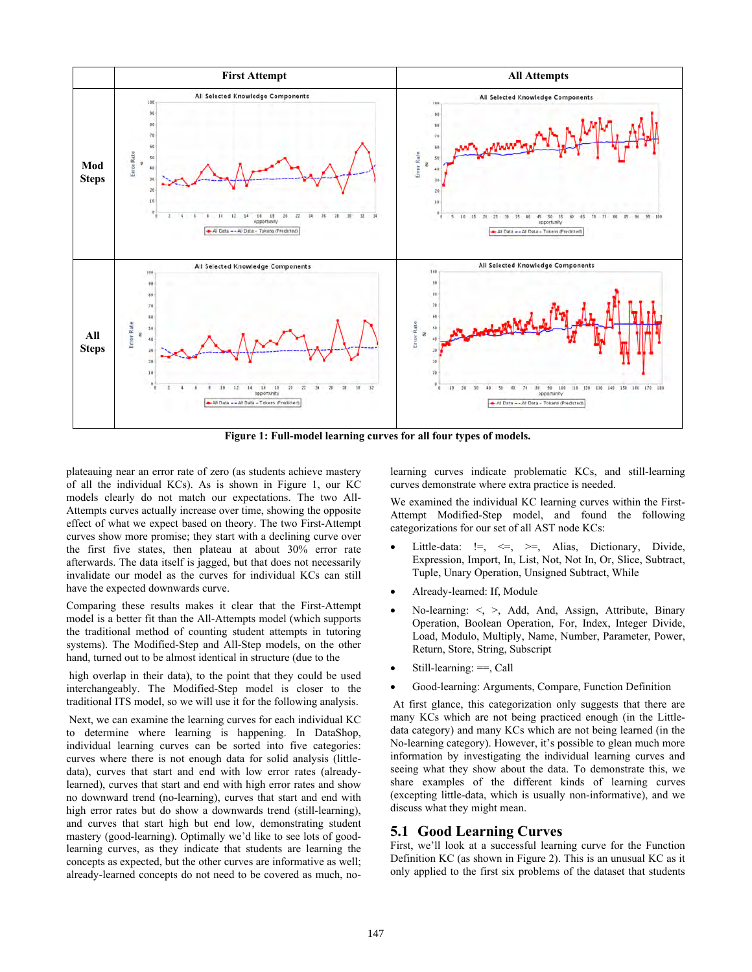

**Figure 1: Full-model learning curves for all four types of models.** 

plateauing near an error rate of zero (as students achieve mastery of all the individual KCs). As is shown in Figure 1, our KC models clearly do not match our expectations. The two All-Attempts curves actually increase over time, showing the opposite effect of what we expect based on theory. The two First-Attempt curves show more promise; they start with a declining curve over the first five states, then plateau at about 30% error rate afterwards. The data itself is jagged, but that does not necessarily invalidate our model as the curves for individual KCs can still have the expected downwards curve.

Comparing these results makes it clear that the First-Attempt model is a better fit than the All-Attempts model (which supports the traditional method of counting student attempts in tutoring systems). The Modified-Step and All-Step models, on the other hand, turned out to be almost identical in structure (due to the

 high overlap in their data), to the point that they could be used interchangeably. The Modified-Step model is closer to the traditional ITS model, so we will use it for the following analysis.

 Next, we can examine the learning curves for each individual KC to determine where learning is happening. In DataShop, individual learning curves can be sorted into five categories: curves where there is not enough data for solid analysis (littledata), curves that start and end with low error rates (alreadylearned), curves that start and end with high error rates and show no downward trend (no-learning), curves that start and end with high error rates but do show a downwards trend (still-learning), and curves that start high but end low, demonstrating student mastery (good-learning). Optimally we'd like to see lots of goodlearning curves, as they indicate that students are learning the concepts as expected, but the other curves are informative as well; already-learned concepts do not need to be covered as much, nolearning curves indicate problematic KCs, and still-learning curves demonstrate where extra practice is needed.

We examined the individual KC learning curves within the First-Attempt Modified-Step model, and found the following categorizations for our set of all AST node KCs:

- Little-data: !=, <=, >=, Alias, Dictionary, Divide, Expression, Import, In, List, Not, Not In, Or, Slice, Subtract, Tuple, Unary Operation, Unsigned Subtract, While
- Already-learned: If, Module
- No-learning: <, >, Add, And, Assign, Attribute, Binary Operation, Boolean Operation, For, Index, Integer Divide, Load, Modulo, Multiply, Name, Number, Parameter, Power, Return, Store, String, Subscript
- Still-learning: ==, Call
- Good-learning: Arguments, Compare, Function Definition

 At first glance, this categorization only suggests that there are many KCs which are not being practiced enough (in the Littledata category) and many KCs which are not being learned (in the No-learning category). However, it's possible to glean much more information by investigating the individual learning curves and seeing what they show about the data. To demonstrate this, we share examples of the different kinds of learning curves (excepting little-data, which is usually non-informative), and we discuss what they might mean.

### **5.1 Good Learning Curves**

First, we'll look at a successful learning curve for the Function Definition KC (as shown in Figure 2). This is an unusual KC as it only applied to the first six problems of the dataset that students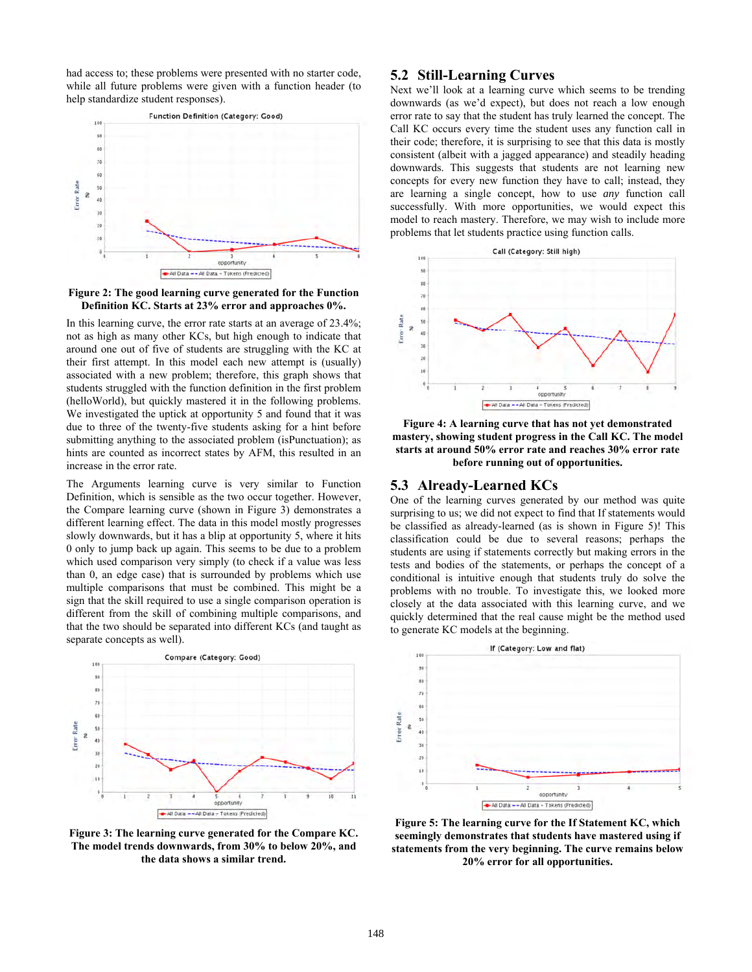had access to; these problems were presented with no starter code, while all future problems were given with a function header (to help standardize student responses).



**Figure 2: The good learning curve generated for the Function Definition KC. Starts at 23% error and approaches 0%.** 

In this learning curve, the error rate starts at an average of 23.4%; not as high as many other KCs, but high enough to indicate that around one out of five of students are struggling with the KC at their first attempt. In this model each new attempt is (usually) associated with a new problem; therefore, this graph shows that students struggled with the function definition in the first problem (helloWorld), but quickly mastered it in the following problems. We investigated the uptick at opportunity 5 and found that it was due to three of the twenty-five students asking for a hint before submitting anything to the associated problem (isPunctuation); as hints are counted as incorrect states by AFM, this resulted in an increase in the error rate.

The Arguments learning curve is very similar to Function Definition, which is sensible as the two occur together. However, the Compare learning curve (shown in Figure 3) demonstrates a different learning effect. The data in this model mostly progresses slowly downwards, but it has a blip at opportunity 5, where it hits 0 only to jump back up again. This seems to be due to a problem which used comparison very simply (to check if a value was less than 0, an edge case) that is surrounded by problems which use multiple comparisons that must be combined. This might be a sign that the skill required to use a single comparison operation is different from the skill of combining multiple comparisons, and that the two should be separated into different KCs (and taught as separate concepts as well).



**Figure 3: The learning curve generated for the Compare KC. The model trends downwards, from 30% to below 20%, and the data shows a similar trend.** 

### **5.2 Still-Learning Curves**

Next we'll look at a learning curve which seems to be trending downwards (as we'd expect), but does not reach a low enough error rate to say that the student has truly learned the concept. The Call KC occurs every time the student uses any function call in their code; therefore, it is surprising to see that this data is mostly consistent (albeit with a jagged appearance) and steadily heading downwards. This suggests that students are not learning new concepts for every new function they have to call; instead, they are learning a single concept, how to use *any* function call successfully. With more opportunities, we would expect this model to reach mastery. Therefore, we may wish to include more problems that let students practice using function calls.



**Figure 4: A learning curve that has not yet demonstrated mastery, showing student progress in the Call KC. The model starts at around 50% error rate and reaches 30% error rate before running out of opportunities.** 

#### **5.3 Already-Learned KCs**

One of the learning curves generated by our method was quite surprising to us; we did not expect to find that If statements would be classified as already-learned (as is shown in Figure 5)! This classification could be due to several reasons; perhaps the students are using if statements correctly but making errors in the tests and bodies of the statements, or perhaps the concept of a conditional is intuitive enough that students truly do solve the problems with no trouble. To investigate this, we looked more closely at the data associated with this learning curve, and we quickly determined that the real cause might be the method used to generate KC models at the beginning.



**Figure 5: The learning curve for the If Statement KC, which seemingly demonstrates that students have mastered using if statements from the very beginning. The curve remains below 20% error for all opportunities.**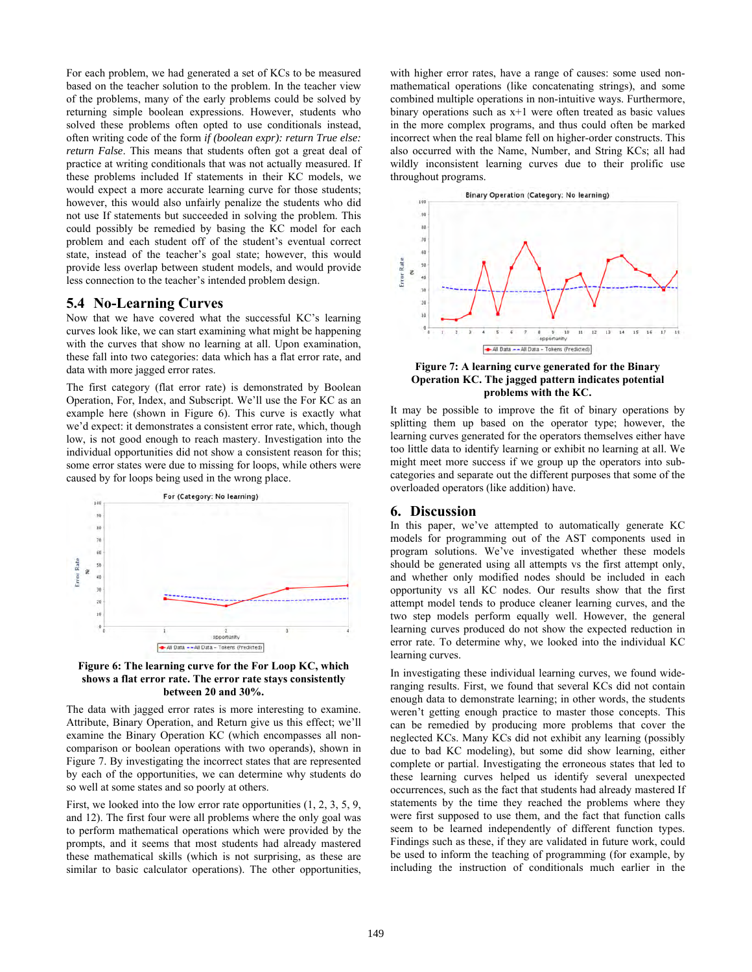For each problem, we had generated a set of KCs to be measured based on the teacher solution to the problem. In the teacher view of the problems, many of the early problems could be solved by returning simple boolean expressions. However, students who solved these problems often opted to use conditionals instead, often writing code of the form *if (boolean expr): return True else: return False*. This means that students often got a great deal of practice at writing conditionals that was not actually measured. If these problems included If statements in their KC models, we would expect a more accurate learning curve for those students; however, this would also unfairly penalize the students who did not use If statements but succeeded in solving the problem. This could possibly be remedied by basing the KC model for each problem and each student off of the student's eventual correct state, instead of the teacher's goal state; however, this would provide less overlap between student models, and would provide less connection to the teacher's intended problem design.

### **5.4 No-Learning Curves**

Now that we have covered what the successful KC's learning curves look like, we can start examining what might be happening with the curves that show no learning at all. Upon examination, these fall into two categories: data which has a flat error rate, and data with more jagged error rates.

The first category (flat error rate) is demonstrated by Boolean Operation, For, Index, and Subscript. We'll use the For KC as an example here (shown in Figure  $\vec{6}$ ). This curve is exactly what we'd expect: it demonstrates a consistent error rate, which, though low, is not good enough to reach mastery. Investigation into the individual opportunities did not show a consistent reason for this; some error states were due to missing for loops, while others were caused by for loops being used in the wrong place.





The data with jagged error rates is more interesting to examine. Attribute, Binary Operation, and Return give us this effect; we'll examine the Binary Operation KC (which encompasses all noncomparison or boolean operations with two operands), shown in Figure 7. By investigating the incorrect states that are represented by each of the opportunities, we can determine why students do so well at some states and so poorly at others.

First, we looked into the low error rate opportunities (1, 2, 3, 5, 9, and 12). The first four were all problems where the only goal was to perform mathematical operations which were provided by the prompts, and it seems that most students had already mastered these mathematical skills (which is not surprising, as these are similar to basic calculator operations). The other opportunities, with higher error rates, have a range of causes: some used nonmathematical operations (like concatenating strings), and some combined multiple operations in non-intuitive ways. Furthermore, binary operations such as  $x+1$  were often treated as basic values in the more complex programs, and thus could often be marked incorrect when the real blame fell on higher-order constructs. This also occurred with the Name, Number, and String KCs; all had wildly inconsistent learning curves due to their prolific use throughout programs.



**Figure 7: A learning curve generated for the Binary Operation KC. The jagged pattern indicates potential problems with the KC.** 

It may be possible to improve the fit of binary operations by splitting them up based on the operator type; however, the learning curves generated for the operators themselves either have too little data to identify learning or exhibit no learning at all. We might meet more success if we group up the operators into subcategories and separate out the different purposes that some of the overloaded operators (like addition) have.

### **6. Discussion**

In this paper, we've attempted to automatically generate KC models for programming out of the AST components used in program solutions. We've investigated whether these models should be generated using all attempts vs the first attempt only, and whether only modified nodes should be included in each opportunity vs all KC nodes. Our results show that the first attempt model tends to produce cleaner learning curves, and the two step models perform equally well. However, the general learning curves produced do not show the expected reduction in error rate. To determine why, we looked into the individual KC learning curves.

In investigating these individual learning curves, we found wideranging results. First, we found that several KCs did not contain enough data to demonstrate learning; in other words, the students weren't getting enough practice to master those concepts. This can be remedied by producing more problems that cover the neglected KCs. Many KCs did not exhibit any learning (possibly due to bad KC modeling), but some did show learning, either complete or partial. Investigating the erroneous states that led to these learning curves helped us identify several unexpected occurrences, such as the fact that students had already mastered If statements by the time they reached the problems where they were first supposed to use them, and the fact that function calls seem to be learned independently of different function types. Findings such as these, if they are validated in future work, could be used to inform the teaching of programming (for example, by including the instruction of conditionals much earlier in the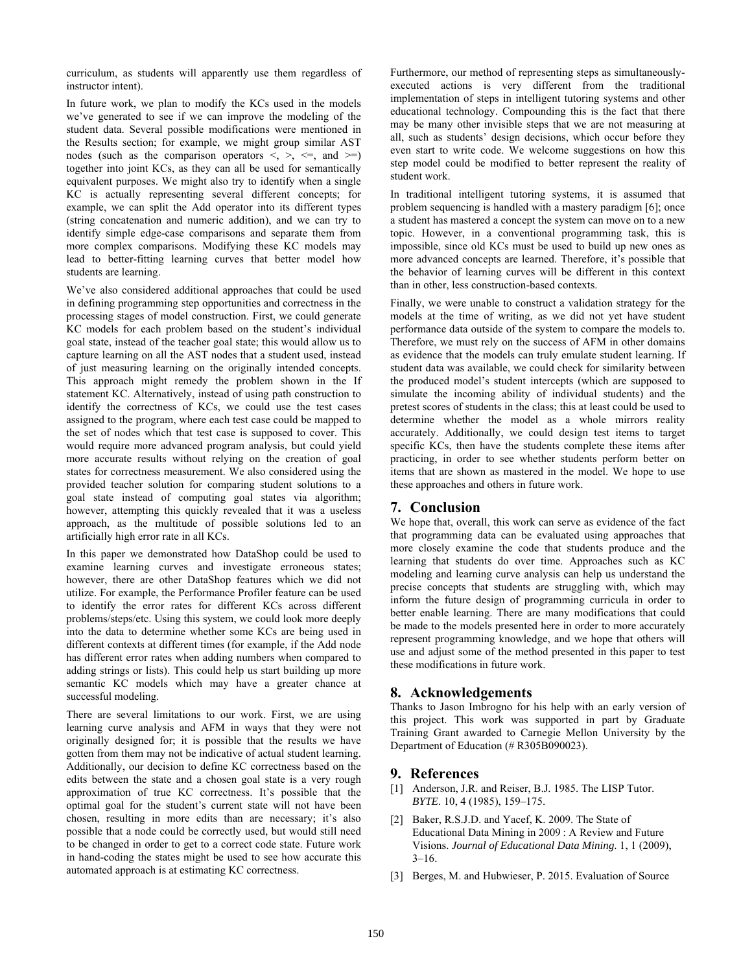curriculum, as students will apparently use them regardless of instructor intent).

In future work, we plan to modify the KCs used in the models we've generated to see if we can improve the modeling of the student data. Several possible modifications were mentioned in the Results section; for example, we might group similar AST nodes (such as the comparison operators  $\leq, \geq, \leq,$  and  $\geq$ ) together into joint KCs, as they can all be used for semantically equivalent purposes. We might also try to identify when a single KC is actually representing several different concepts; for example, we can split the Add operator into its different types (string concatenation and numeric addition), and we can try to identify simple edge-case comparisons and separate them from more complex comparisons. Modifying these KC models may lead to better-fitting learning curves that better model how students are learning.

We've also considered additional approaches that could be used in defining programming step opportunities and correctness in the processing stages of model construction. First, we could generate KC models for each problem based on the student's individual goal state, instead of the teacher goal state; this would allow us to capture learning on all the AST nodes that a student used, instead of just measuring learning on the originally intended concepts. This approach might remedy the problem shown in the If statement KC. Alternatively, instead of using path construction to identify the correctness of KCs, we could use the test cases assigned to the program, where each test case could be mapped to the set of nodes which that test case is supposed to cover. This would require more advanced program analysis, but could yield more accurate results without relying on the creation of goal states for correctness measurement. We also considered using the provided teacher solution for comparing student solutions to a goal state instead of computing goal states via algorithm; however, attempting this quickly revealed that it was a useless approach, as the multitude of possible solutions led to an artificially high error rate in all KCs.

In this paper we demonstrated how DataShop could be used to examine learning curves and investigate erroneous states; however, there are other DataShop features which we did not utilize. For example, the Performance Profiler feature can be used to identify the error rates for different KCs across different problems/steps/etc. Using this system, we could look more deeply into the data to determine whether some KCs are being used in different contexts at different times (for example, if the Add node has different error rates when adding numbers when compared to adding strings or lists). This could help us start building up more semantic KC models which may have a greater chance at successful modeling.

There are several limitations to our work. First, we are using learning curve analysis and AFM in ways that they were not originally designed for; it is possible that the results we have gotten from them may not be indicative of actual student learning. Additionally, our decision to define KC correctness based on the edits between the state and a chosen goal state is a very rough approximation of true KC correctness. It's possible that the optimal goal for the student's current state will not have been chosen, resulting in more edits than are necessary; it's also possible that a node could be correctly used, but would still need to be changed in order to get to a correct code state. Future work in hand-coding the states might be used to see how accurate this automated approach is at estimating KC correctness.

Furthermore, our method of representing steps as simultaneouslyexecuted actions is very different from the traditional implementation of steps in intelligent tutoring systems and other educational technology. Compounding this is the fact that there may be many other invisible steps that we are not measuring at all, such as students' design decisions, which occur before they even start to write code. We welcome suggestions on how this step model could be modified to better represent the reality of student work.

In traditional intelligent tutoring systems, it is assumed that problem sequencing is handled with a mastery paradigm [6]; once a student has mastered a concept the system can move on to a new topic. However, in a conventional programming task, this is impossible, since old KCs must be used to build up new ones as more advanced concepts are learned. Therefore, it's possible that the behavior of learning curves will be different in this context than in other, less construction-based contexts.

Finally, we were unable to construct a validation strategy for the models at the time of writing, as we did not yet have student performance data outside of the system to compare the models to. Therefore, we must rely on the success of AFM in other domains as evidence that the models can truly emulate student learning. If student data was available, we could check for similarity between the produced model's student intercepts (which are supposed to simulate the incoming ability of individual students) and the pretest scores of students in the class; this at least could be used to determine whether the model as a whole mirrors reality accurately. Additionally, we could design test items to target specific KCs, then have the students complete these items after practicing, in order to see whether students perform better on items that are shown as mastered in the model. We hope to use these approaches and others in future work.

### **7. Conclusion**

We hope that, overall, this work can serve as evidence of the fact that programming data can be evaluated using approaches that more closely examine the code that students produce and the learning that students do over time. Approaches such as KC modeling and learning curve analysis can help us understand the precise concepts that students are struggling with, which may inform the future design of programming curricula in order to better enable learning. There are many modifications that could be made to the models presented here in order to more accurately represent programming knowledge, and we hope that others will use and adjust some of the method presented in this paper to test these modifications in future work.

### **8. Acknowledgements**

Thanks to Jason Imbrogno for his help with an early version of this project. This work was supported in part by Graduate Training Grant awarded to Carnegie Mellon University by the Department of Education (# R305B090023).

### **9. References**

- [1] Anderson, J.R. and Reiser, B.J. 1985. The LISP Tutor. *BYTE*. 10, 4 (1985), 159–175.
- [2] Baker, R.S.J.D. and Yacef, K. 2009. The State of Educational Data Mining in 2009 : A Review and Future Visions. *Journal of Educational Data Mining*. 1, 1 (2009),  $3-16$ .
- [3] Berges, M. and Hubwieser, P. 2015. Evaluation of Source